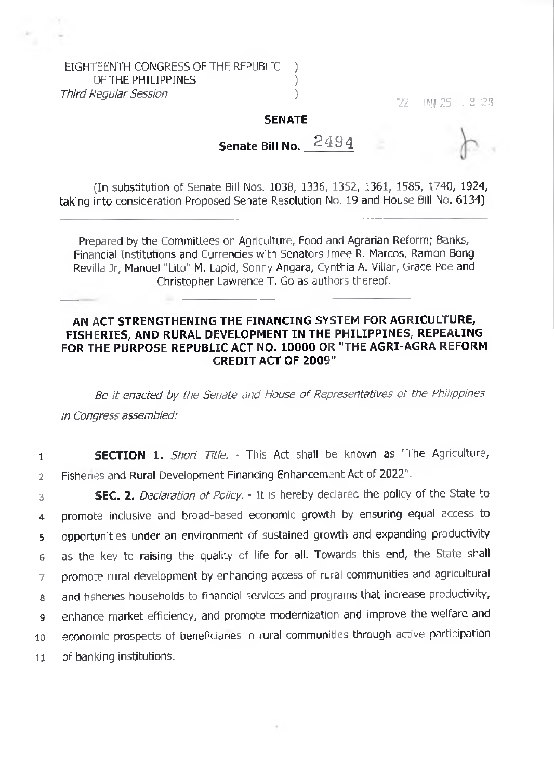EIGHTEENTH CONGRESS OF THE REPUBLIC ) OF THE PHILIPPINES (1999) *Third Regular Session )* 

*'ll* **IW 25 . 2 :.?3**

## **SENATE**

**Senate Bill No.**

(In substitution of Senate Bill Nos. 1038, 1336, 1352, 1361, 1585, 1740, 1924, taking into consideration Proposed Senate Resolution No. 19 and House Bill No. 6134)

Prepared by the Committees on Agriculture, Food and Agrarian Reform; Banks, Financial Institutions and Currencies with Senators Imee R. Marcos, Ramon Bong Revilla Jr, Manuel "Lito" M. Lapid, Sonny Angara, Cynthia A. Villar, Grace Poe and Christopher Lawrence T. Go as authors thereof.

## **AN ACT STRENGTHENING THE FINANCING SYSTEM FOR AGRICULTURE, FISHERIES, AND RURAL DEVELOPMENT IN THE PHILIPPINES, REPEALING FOR THE PURPOSE REPUBLIC ACT NO. 10000 OR "THE AGRI-AGRA REFORM CREDIT ACT OF 2009"**

*Be it enacted by the Senate and House of Representatives of the Philippines in Congress assembled:*

<sup>1</sup> **SECTION 1.** *Short Title.* This Act shall be known as 'The Agriculture, <sup>2</sup> Fisheries and Rural Development Financing Enhancement Act of 2022".

**SEC. 2.** *Declaration of Policy.* - It is hereby declared the policy of the State to promote inclusive and broad-based economic growth by ensuring equal access to opportunities under an environment of sustained growth and expanding productivity as the key to raising the quality of life for all. Towards this end, the State shall promote rural development by enhancing access of rural communities and agricultural and fisheries households to financial services and programs that increase productivity, enhance market efficiency, and promote modernization and improve the welfare and economic prospects of beneficiaries in rural communities through active participation of banking institutions.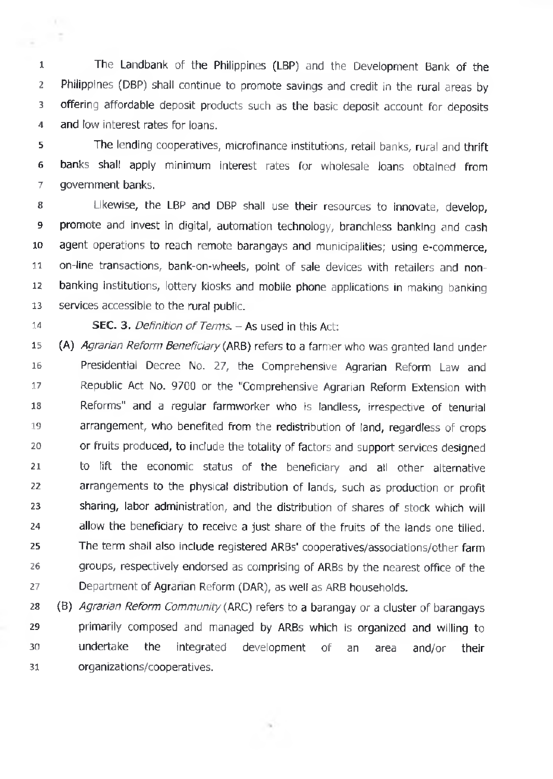**1 2 3 4** The Landbank of the Philippines (LBP) and the Development Bank of the Philippines (DBP) shall continue to promote savings and credit in the rural areas by offering affordable deposit products such as the basic deposit account for deposits and low interest rates for loans.

**5 6 7** The lending cooperatives, microfinance institutions, retail banks, rural and thrift banks shall apply minimum interest rates for wholesale loans obtained from government banks.

**8 9 10 11 12 13** Likewise, the LBP and DBP shall use their resources to innovate, develop, promote and invest in digital, automation technology, branchless banking and cash agent operations to reach remote barangays and municipalities; using e-commerce, on-line transactions, bank-on-wheels, point of sale devices with retailers and nonbanking institutions, lottery kiosks and mobile phone applications in making banking services accessible to the rural public.

**14**

 $\sim$ 

- 2

SEC. 3. *Definition of Terms. -* As used in this Act:

**15 16 17 18 19 20 21 22 23 24 25 26 27** (A) *Agrarian Reform Beneficiary* (ARB) refers to a farmer who was granted land under Presidential Decree No. 27, the Comprehensive Agrarian Reform Law and Republic Act No. 9700 or the "Comprehensive Agrarian Reform Extension with Reforms" and a regular farmworker who is landless, irrespective of tenurial arrangement, who benefited from the redistribution of land, regardless of crops or fruits produced, to include the totality of factors and support services designed to lift the economic status of the beneficiary and all other alternative arrangements to the physical distribution of lands, such as production or profit sharing, labor administration, and the distribution of shares of stock which will allow the beneficiary to receive a just share of the fruits of the lands one tilled. The term shall also include registered ARBs' cooperatives/associations/other farm groups, respectively endorsed as comprising of ARBs by the nearest office of the Department of Agrarian Reform (DAR), as well as ARB households.

**28 29 30 31** (B) *Agrarian Reform Community* (ARC) refers to a barangay or a cluster of barangays primarily composed and managed by ARBs which is organized and willing to undertake the integrated development of an area and/or their organizations/cooperatives.

 $\alpha$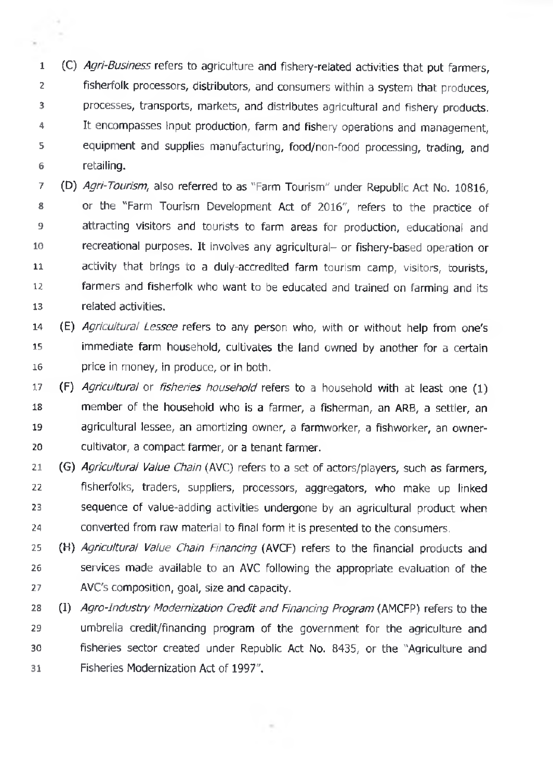(C) *Agri-Business* refers to agriculture and fishery-related activities that put farmers, **1 2 3 4 5 6** fisherfolk processors, distributors, and consumers within a system that produces, processes, transports, markets, and distributes agricultural and fishery products. It encompasses Input production, farm and fishery operations and management, equipment and supplies manufacturing, food/non-food processing, trading, and retailing.

(D) *Agri-Tourism,* also referred to as "Farm Tourism" under Republic Act No. 10816, **7 8 9 10 11 12 13** or the "Farm Tourism Development Act of 2016", refers to the practice of attracting visitors and tourists to farm areas for production, educational and recreational purposes. It involves any agricultural- or fishery-based operation or activity that brings to a duly-accredited farm tourism camp, visitors, tourists, farmers and fisherfolk who want to be educated and trained on farming and its related activities.

- **14 (E)** *Agricultural Lessee* refers to any person who, with or without help from one's **15 16** immediate farm household, cultivates the land owned by another for a certain price in money, in produce, or in both.
- **17 18 19 20** (F) *Agricultural* or *fisheries household* refers to a household with at least one (1) member of the household who is a farmer, a fisherman, an ARB, a settler, an agricultural lessee, an amortizing owner, a farmworker, a fishworker, an ownercultivator, a compact farmer, or a tenant farmer.
- **21 22 23 24** (G) *Agricultural Value Chain* (AVC) refers to a set of actors/players, such as farmers, fisherfolks, traders, suppliers, processors, aggregators, who make up linked sequence of value-adding activities undergone by an agricultural product when converted from raw material to final form it is presented to the consumers.
- **25 26 27** (H) *Agricultural Value Chain Financing* (AVCF) refers to the financial products and services made available to an AVC following the appropriate evaluation of the AVC's composition, goal, size and capacity.
- **28 29 30 31 (I)** *Agro-Industry Modernization Credit and Financing Program* (AMCFP) refers to the umbrella credit/financing program of the government for the agriculture and fisheries sector created under Republic Act No. 8435, or the "Agriculture and Fisheries Modernization Act of 1997".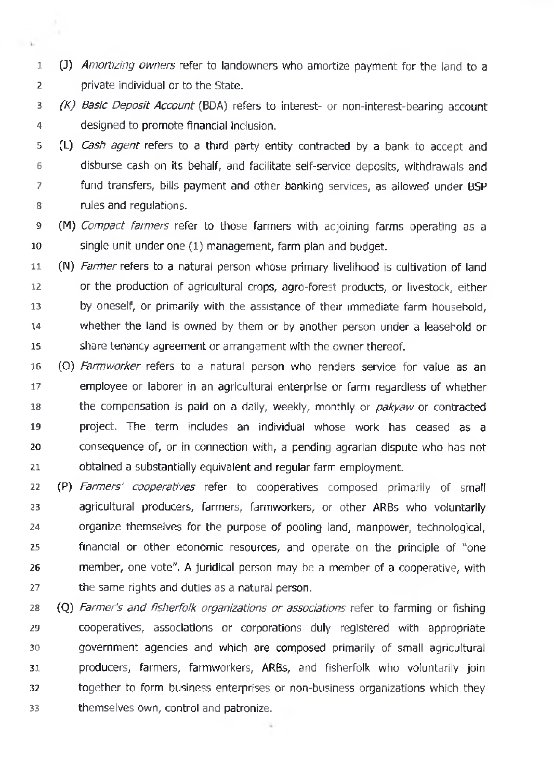(J) *Amortizing owners* refer to landowners who amortize payment for the land to a **1 2** private individual or to the State.

 $\sim$ 

- *(K) Basic Deposit Account* (BDA) refers to interest- or non-interest-bearing account **3 4** designed to promote financial inclusion.
- CL) *Cash agent* refers to a third party entity contracted by a bank to accept and **5 6 7 8** disburse cash on its behalf, and facilitate self-service deposits, withdrawals and fund transfers, bills payment and other banking services, as allowed under BSP rules and regulations.
- (M) *Compact farmers* refer to those farmers with adjoining farms operating as a **9 10** single unit under one (1) management, farm plan and budget.
- (N) *Farmer* refers to a natural person whose primary livelihood is cultivation of land **11 12 13 14 15** or the production of agricultural crops, agro-forest products, or livestock, either by oneself, or primarily with the assistance of their immediate farm household, whether the land is owned by them or by another person under a leasehold or share tenancy agreement or arrangement with the owner thereof.
- (0) *Farmworker* refers to a natural person who renders service for value as an **16 17 18 19 20 21** employee or laborer in an agricultural enterprise or farm regardless of whether the compensation is paid on a daily, weekly, monthly or *pakyaw* or contracted project. The term includes an individual whose work has ceased as a consequence of, or in connection with, a pending agrarian dispute who has not obtained a substantially equivalent and regular farm employment.
- **22 23 24 25 26 27** (P) *Farmers' cooperatives* refer to cooperatives composed primarily of small agricultural producers, farmers, farmworkers, or other ARBs who voluntarily organize themselves for the purpose of pooling land, manpower, technological, financial or other economic resources, and operate on the principle of "one member, one vote". A juridical person may be a member of a cooperative, with the same rights and duties as a natural person.
- **28 (Q)** *Farmer's and ftsherfolk organizations or associations* refer to farming or fishing **29 30 31 32 33** cooperatives, associations or corporations duly registered with appropriate government agencies and which are composed primarily of small agricultural producers, farmers, farmworkers, ARBs, and fisherfolk who voluntarily join together to form business enterprises or non-business organizations which they themselves own, control and patronize.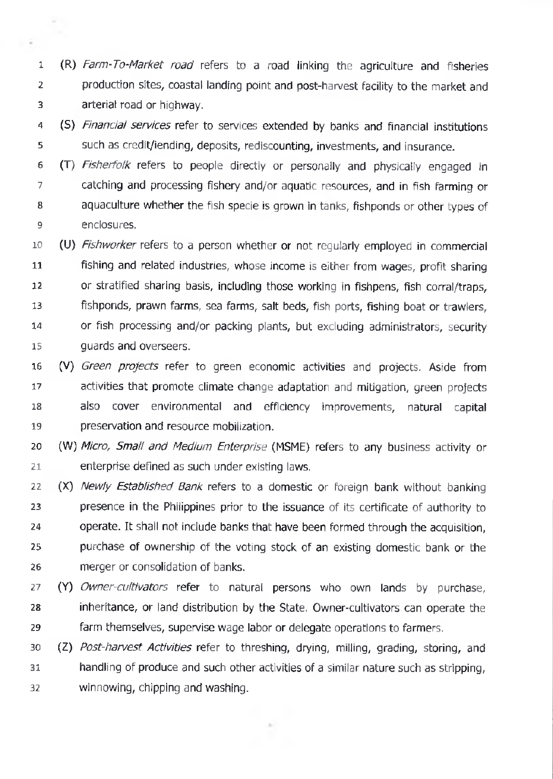**<sup>1</sup> (R)** *Farm-To-Market road* refers to a road linking the agriculture and fisheries **2 3** production sites, coastal landing point and post-harvest facility to the market and arterial road or highway.

 $\sim$ 

÷,

- (S) *Financial services* refer to services extended by banks and financial institutions **4 5** such as credit/iending, deposits, rediscounting, investments, and insurance.
- (T) *Fisherfoik* refers to people directly or personally and physically engaged In **6 7 8 9** catching and processing fishery and/or aquatic resources, and in fish farming or aquaculture whether the fish specie is grown in tanks, fishponds or other types of enclosures.
- **10 (U)** *Fishworker* refers to a person whether or not regularly employed in commercial **11 12 13 14 15** fishing and related industries, whose income is either from wages, profit sharing or stratified sharing basis, including those working in fishpens, fish corral/traps, fishponds, prawn farms, sea farms, salt beds, fish ports, fishing boat or trawlers, or fish processing and/or packing plants, but excluding administrators, security guards and overseers.
- **16 cv)** *Green projects* refer to green economic activities and projects. Aside from **17 18 19** activities that promote climate change adaptation and mitigation, green projects also cover environmental and efficiency improvements, natural capital preservation and resource mobilization.
- **20 21** (W) *Micro, Small and Medium Enterprise* (MSME) refers to any business activity or enterprise defined as such under existing laws.
- **22 23 24 25 26** (X) *Newly Established Bank* refers to a domestic or foreign bank without banking presence in the Philippines prior to the issuance of its certificate of authority to operate. It shall not include banks that have been formed through the acquisition, purchase of ownership of the voting stock of an existing domestic bank or the merger or consolidation of banks.
- **27 28 29** (Y) *Owner-cultivators* refer to natural persons who own lands by purchase, inheritance, or land distribution by the State. Owner-cultivators can operate the farm themselves, supervise wage labor or delegate operations to farmers.
- **30 (Z)** *Post-harvest Activities* refer to threshing, drying, milling, grading, storing, and **31 32** handling of produce and such other activities of a similar nature such as stripping, winnowing, chipping and washing.

×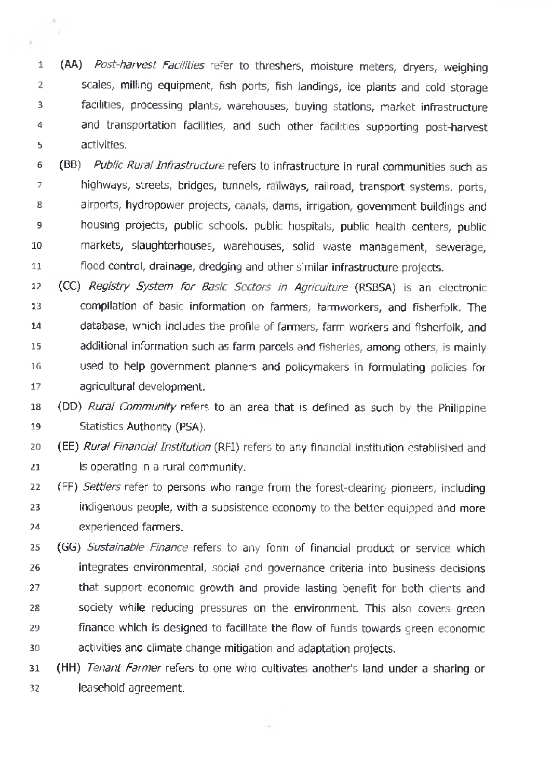**1 2 3 4 5** (AA) *Post-harvest Facilities* refer to threshers, moisture meters, dryers, weighing scales, milling equipment, fish ports, fish landings, ice plants and cold storage facilities, processing plants, warehouses, buying stations, market infrastructure and transportation facilities, and such other facilities supporting post-harvest activities.

 $\scriptstyle\rm II$ h s

¥

**6 7 8 9 10 11** (BB) *Public Rural Infrastructure* refers to infrastructure in rural communities such as highways, streets, bridges, tunnels, railways, railroad, transport systems, ports, airports, hydropower projects, canals, dams, irrigation, government buildings and housing projects, public schools, public hospitals, public health centers, public markets, slaughterhouses, warehouses, solid waste management, sewerage, flood control, drainage, dredging and other similar infrastructure projects.

**12 13 14 15 16 17** (CC) *Registry System For Basic Sectors in Agriculture* (RSBSA) is an electronic compilation of basic information on farmers, farmworkers, and fisherfolk. The database, which includes the profile of farmers, farm workers and fisherfolk, and additional information such as farm parcels and fisheries, among others, is mainly used to help government planners and policymakers in formulating policies for agricultural development.

**18 19** (DD) *Rural Community* refers to an area that is defined as such by the Philippine Statistics Authority (PSA).

**20 21** (EE) *Rural Financial Institution* (RFI) refers to any financial institution established and is operating in a rural community.

**22 23 24** (FF) *Settlers* refer to persons who range from the forest-clearing pioneers, including indigenous people, with a subsistence economy to the better equipped and more experienced farmers.

**25 26 27 28 29 30** (GG) *Sustainable Finance* refers to any form of financial product or service which integrates environmental, social and governance criteria into business decisions that support economic growth and provide lasting benefit for both clients and society while reducing pressures on the environment. This also covers green finance which is designed to facilitate the flow of funds towards green economic activities and climate change mitigation and adaptation projects.

**31 32** (HH) *Tenant Farmer* refers to one who cultivates another's land under a sharing or leasehold agreement.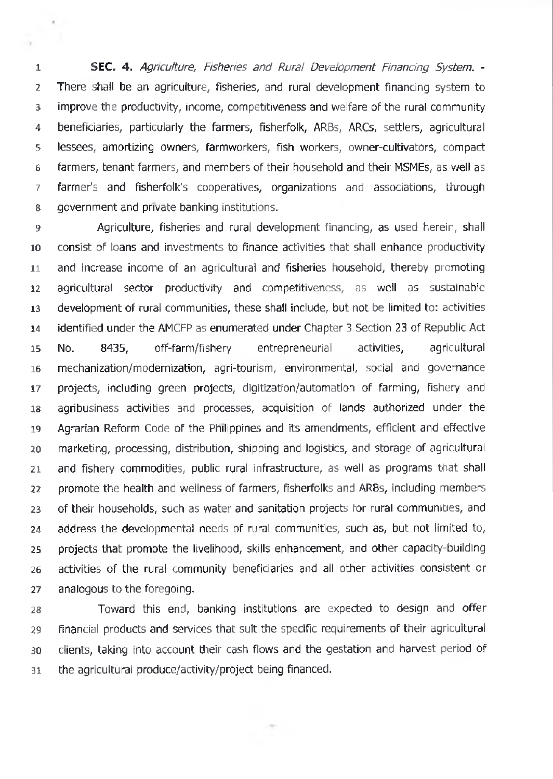**SEC.** 4. *Agriculture, Fisheries and Rural Development Financing System. -* There shall be an agriculture, fisheries, and rural development financing system to improve the productivity, income, competitiveness and welfare of the rural community beneficiaries, particularly the farmers, fisherfolk, ARBs, ARCs, settlers, agricultural lessees, amortizing owners, farmworkers, fish workers, owner-cultivators, compact farmers, tenant farmers, and members of their household and their MSMEs, as well as farmer's and fisherfolk's cooperatives, organizations and associations, through 8 government and private banking institutions.

 $\pi$ 

à

 Agriculture, fisheries and rural development financing, as used herein, shall consist of loans and investments to finance activities that shall enhance productivity and increase income of an agricultural and fisheries household, thereby promoting agricultural sector productivity and competitiveness, as well as sustainable development of rural communities, these shall include, but not be limited to: activities identified under the AMCFP as enumerated under Chapter 3 Section 23 of Republic Act No. 8435, off-farm/fishery entrepreneurial activities, agricultural mechanization/modernization, agri-tourism, environmental, social and governance projects, including green projects, digitization/automation of farming, fishery and agribusiness activities and processes, acquisition of lands authorized under the Agrarian Reform Code of the Philippines and its amendments, efficient and effective marketing, processing, distribution, shipping and logistics, and storage of agricultural 21 and fishery commodities, public rural infrastructure, as well as programs that shall promote the health and wellness of farmers, fisherfolks and ARBs, including members of their households, such as water and sanitation projects for rural communities, and address the developmental needs of rural communities, such as, but not limited to, projects that promote the livelihood, skills enhancement, and other capacity-building activities of the rural community beneficiaries and all other activities consistent or analogous to the foregoing.

 Toward this end, banking institutions are expected to design and offer financial products and services that suit the specific requirements of their agricultural clients, taking into account their cash flows and the gestation and harvest period of the agricultural produce/activity/project being financed.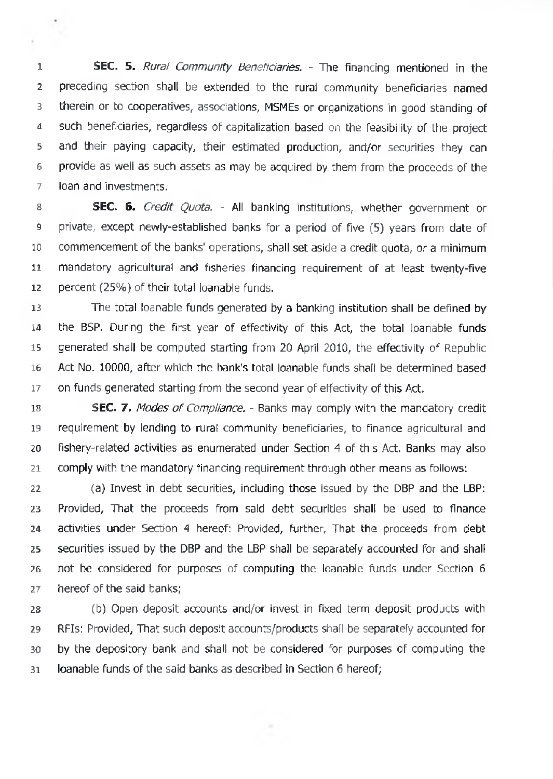SEC. 5. *Rural Community Beneficiaries. -* The financing mentioned in the preceding section shall be extended to the rural community beneficiaries named therein or to cooperatives, associations, MSMEs or organizations in good standing of such beneficiaries, regardless of capitalization based on the feasibility of the project and their paying capacity, their estimated production, and/or securities they can 6 provide as well as such assets as may be acquired by them from the proceeds of the loan and investments.

 SEC. 6. *Credit Quota. -* All banking institutions, whether government or private, except newly-established banks for a period of five (5) years from date of commencement of the banks' operations, shall set aside a credit quota, or a minimum mandatory agricultural and fisheries financing requirement of at least twenty-five percent (25%) of their total loanable funds.

 The total loanable funds generated by a banking institution shall be defined by the BSP. During the first year of effectivity of this Act, the total loanable funds generated shall be computed starting from 20 April 2010, the effectivity of Republic Act No. 10000, after which the bank's total loanable funds shall be determined based on funds generated starting from the second year of effectivity of this Act.

 SEC. 7. *Modes of Compliance. -* Banks may comply with the mandatory credit requirement by lending to rural community beneficiaries, to finance agricultural and fishery-related activities as enumerated under Section 4 of this Act. Banks may also comply with the mandatory financing requirement through other means as follows:

 (a) Invest in debt securities, including those issued by the DBP and the LBP: Provided, That the proceeds from said debt securities shall be used to finance activities under Section 4 hereof: Provided, further. That the proceeds from debt securities issued by the DBP and the LBP shall be separately accounted for and shall not be considered for purposes of computing the loanable funds under Section 6 hereof of the said banks;

 (b) Open deposit accounts and/or invest in fixed term deposit products with RFIs: Provided, That such deposit accounts/products shall be separately accounted for by the depository bank and shall not be considered for purposes of computing the loanable funds of the said banks as described in Section 6 hereof;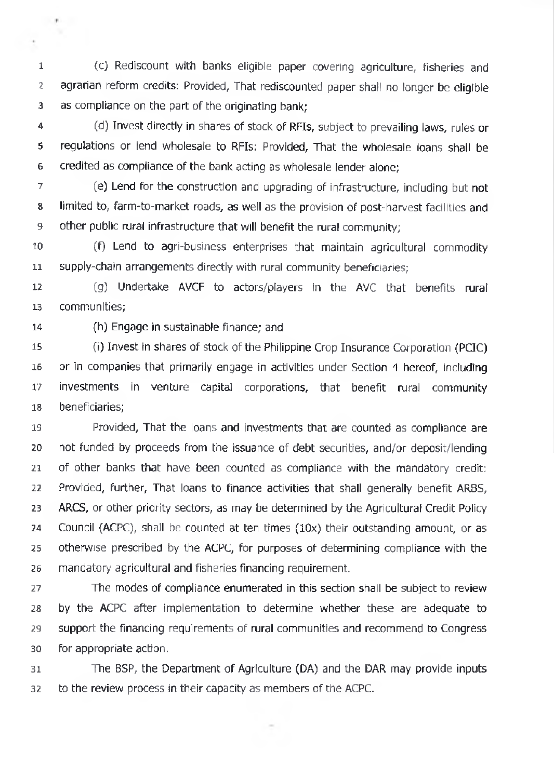**1 2 3** (c) Rediscount with banks eligible paper covering agriculture, fisheries and agrarian reform credits: Provided, That rediscounted paper shall no longer be eligible as compliance on the part of the originating bank;

**4 5 6** (d) Invest directly in shares of stock of RFIs, subject to prevailing laws, rules or regulations or lend wholesale to RFIs: Provided, That the wholesale loans shall be credited as compliance of the bank acting as wholesale lender alone;

**7 8 9** (e) Lend for the construction and upgrading of infrastructure, including but not limited to, farm-to-market roads, as well as the provision of post-harvest facilities and other public rural infrastructure that will benefit the rural community;

**10 11** (f) Lend to agri-business enterprises that maintain agricultural commodity supply-chain arrangements directly with rural community beneficiaries;

**12 13** (g) Undertake AVCF to actors/players in the AVC that benefits rural communities;

**14** (h) Engage in sustainable finance; and

 $\mathcal{F}$ 

×.

**15 16 17 18** (i) Invest in shares of stock of the Philippine Crop Insurance Corporation (PCIC) or in companies that primarily engage in activities under Section 4 hereof, including investments in venture capital corporations, that benefit rural community beneficiaries;

**19 20 21 22 23 24 25 26** Provided, That the loans and investments that are counted as compliance are not funded by proceeds from the issuance of debt securities, and/or deposit/lending of other banks that have been counted as compliance with the mandatory credit: Provided, further. That loans to finance activities that shall generally benefit ARBS, ARCS, or other priority sectors, as may be determined by the Agricultural Credit Policy Council (ACPC), shall be counted at ten times  $(10x)$  their outstanding amount, or as otherwise prescribed by the ACPC, for purposes of determining compliance with the mandatory agricultural and fisheries financing requirement.

**27 28 29 30** The modes of compliance enumerated in this section shall be subject to review by the ACPC after implementation to determine whether these are adequate to support the financing requirements of rural communities and recommend to Congress for appropriate action.

**31 32** The BSP, the Department of Agriculture (DA) and the DAR may provide inputs to the review process in their capacity as members of the ACPC.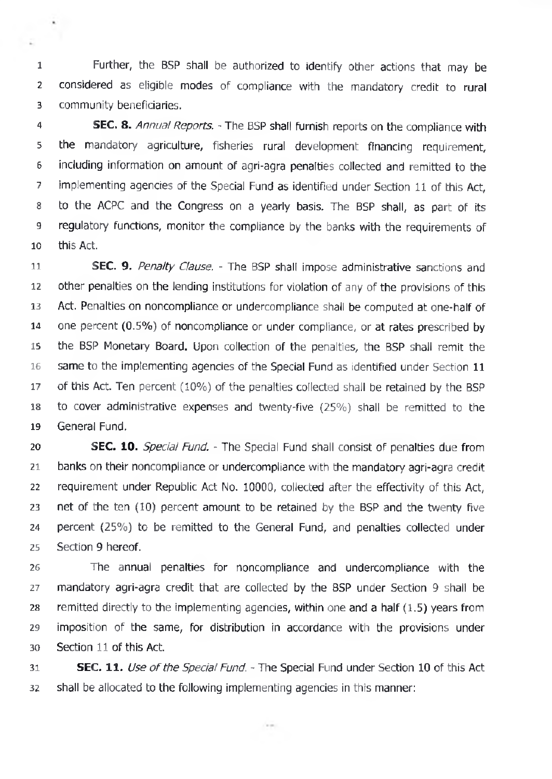**1 2 3** Further, the BSP shall be authorized to identify other actions that may be considered as eligible modes of compliance with the mandatory credit to rural community beneficiaries.

**CALL** 

**4 5 6 7 8 9 10** SEC. 8. *Annual Reports. -* The BSP shall furnish reports on the compliance with the mandatory agriculture, fisheries rural development financing requirement, including information on amount of agri-agra penalties collected and remitted to the implementing agencies of the Special Fund as identified under Section 11 of this Act, to the ACPC and the Congress on a yearly basis. The BSP shall, as part of its regulatory functions, monitor the compliance by the banks with the requirements of this Act.

**11 12 13 14 15 16 17 18 19** SEC. 9. *Penalty Clause. -* The BSP shall impose administrative sanctions and other penalties on the lending institutions for violation of any of the provisions of this Act. Penalties on noncompliance or undercompliance shall be computed at one-half of one percent (0.5%) of noncompliance or under compliance, or at rates prescribed by the BSP Monetary Board. Upon collection of the penalties, the BSP shall remit the same to the implementing agencies of the Special Fund as identified under Section 11 of this Act. Ten percent (10%) of the penalties collected shall be retained by the BSP to cover administrative expenses and twenty-five (25%) shall be remitted to the General Fund.

**20 21 22 23 24 25** SEC. 10. *Special Fund. -* The Special Fund shall consist of penalties due from banks on their noncompliance or undercompliance with the mandatory agri-agra credit requirement under Republic Act No. 10000, collected after the effectivity of this Act, net of the ten (10) percent amount to be retained by the BSP and the twenty five percent (25%) to be remitted to the General Fund, and penalties collected under Section 9 hereof.

**26 27 28 29 30** The annual penalties for noncompliance and undercompliance with the mandatory agri-agra credit that are collected by the BSP under Section 9 shall be remitted directly to the implementing agencies, within one and a half  $(1.5)$  years from imposition of the same, for distribution in accordance with the provisions under Section 11 of this Act.

**31 32 SEC. 11.** Use of the Special Fund. - The Special Fund under Section 10 of this Act. shall be allocated to the following implementing agencies in this manner:

Corporate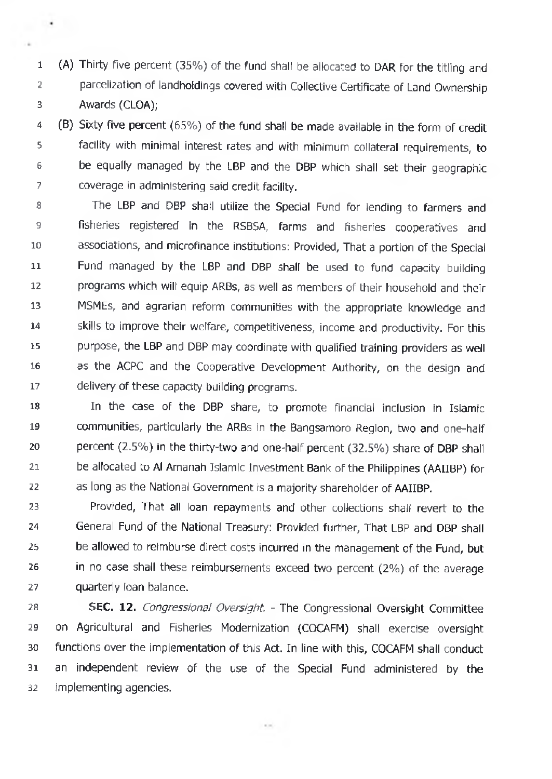**1 2 3** (A) Thirty five percent (35%) of the fund shall be allocated to DAR for the titling and parcelization of landholdings covered with Collective Certificate of Land Ownership Awards (CLOA);

 $\blacksquare$ 

**4 5 6 7** (B) Sixty five percent (65%) of the fund shall be made available in the form of credit facility with minimal interest rates and with minimum collateral requirements, to be equally managed by the LBP and the DBP which shall set their geographic coverage in administering said credit facility.

**8 9 10 11 12 13 14 15 16 17** The LBP and DBP shall utilize the Special Fund for lending to farmers and fisheries registered in the RSBSA, farms and fisheries cooperatives and associations, and microfinance institutions: Provided, That a portion of the Special Fund managed by the LBP and DBP shall be used to fund capacity building programs which will equip ARBs, as well as members of their household and their MSMEs, and agrarian reform communities with the appropriate knowledge and skills to improve their welfare, competitiveness, income and productivity. For this purpose, the LBP and DBP may coordinate with qualified training providers as well as the ACPC and the Cooperative Development Authority, on the design and delivery of these capacity building programs.

**18 19 20 21 22** In the case of the DBP share, to promote financial inclusion in Islamic communities, particularly the ARBs in the Bangsamoro Region, two and one-half percent (2.5%) in the thirty-two and one-half percent (32.5%) share of DBP shall be allocated to Al Amanah Islamic Investment Bank of the Philippines (AAIIBP) for as long as the National Government is a majority shareholder of AAIIBP.

**23 24 25 26 27** Provided, That all loan repayments and other collections shall revert to the General Fund of the National Treasury: Provided further, That LBP and DBP shall be allowed to reimburse direct costs incurred in the management of the Fund, but in no case shall these reimbursements exceed two percent (2%) of the average quarterly loan balance.

**28 29 30 31 32 SEC.** 12. *Congressional Oversight -* The Congressional Oversight Committee on Agricultural and Fisheries Modernization (COCAFM) shall exercise oversight functions over the implementation of this Act. In line with this, COCAFM shall conduct an independent review of the use of the Special Fund administered by the Implementing agencies.

 $\sim 100$